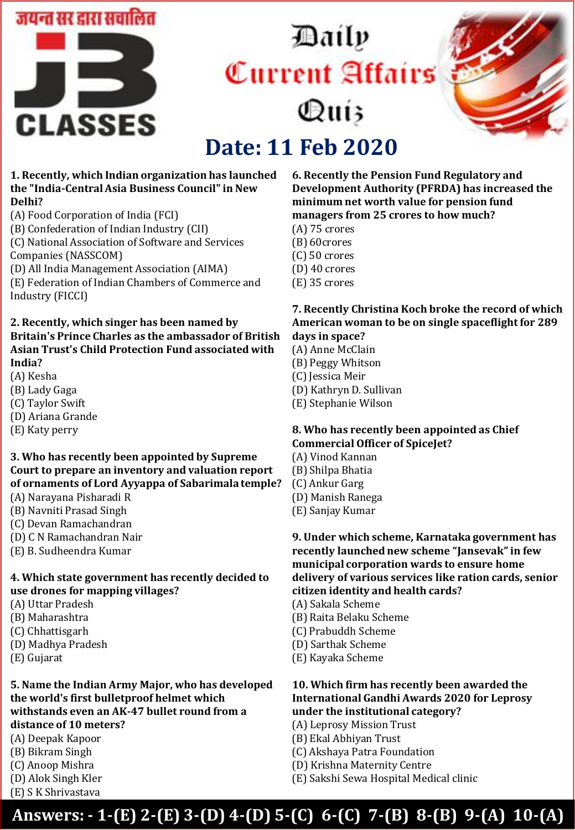

# Daily Current Affairs Quiz



## **Date: 11 Feb 2020**

#### **1. Recently, which Indian organization has launched the "India-Central Asia Business Council" in New Delhi?**

- (A) Food Corporation of India (FCI)
- (B) Confederation of Indian Industry (CII)

(C) National Association of Software and Services Companies (NASSCOM)

- (D) All India Management Association (AIMA)
- (E) Federation of Indian Chambers of Commerce and Industry (FICCI)

#### **2. Recently, which singer has been named by Britain's Prince Charles as the ambassador of British Asian Trust's Child Protection Fund associated with India?**

- (A) Kesha
- (B) Lady Gaga
- (C) Taylor Swift
- (D) Ariana Grande
- (E) Katy perry

#### **3. Who has recently been appointed by Supreme Court to prepare an inventory and valuation report of ornaments of Lord Ayyappa of Sabarimala temple?**

- (A) Narayana Pisharadi R
- (B) Navniti Prasad Singh
- (C) Devan Ramachandran
- (D) C N Ramachandran Nair
- (E) B. Sudheendra Kumar

#### **4. Which state government has recently decided to use drones for mapping villages?**

- (A) Uttar Pradesh
- (B) Maharashtra
- (C) Chhattisgarh
- (D) Madhya Pradesh
- (E) Gujarat

#### **5. Name the Indian Army Major, who has developed the world's first bulletproof helmet which withstands even an AK-47 bullet round from a distance of 10 meters?**

- (A) Deepak Kapoor
- (B) Bikram Singh
- (C) Anoop Mishra
- (D) Alok Singh Kler
- (E) S K Shrivastava

#### **6. Recently the Pension Fund Regulatory and Development Authority (PFRDA) has increased the minimum net worth value for pension fund managers from 25 crores to how much?**

- (A) 75 crores
- (B) 60crores
- (C) 50 crores
- (D) 40 crores
- (E) 35 crores

#### **7. Recently Christina Koch broke the record of which American woman to be on single spaceflight for 289 days in space?**

- (A) Anne McClain
- (B) Peggy Whitson
- (C) Jessica Meir
- (D) Kathryn D. Sullivan
- (E) Stephanie Wilson

#### **8. Who has recently been appointed as Chief Commercial Officer of SpiceJet?**

- (A) Vinod Kannan
- (B) Shilpa Bhatia
- (C) Ankur Garg
- (D) Manish Ranega
- (E) Sanjay Kumar

**9. Under which scheme, Karnataka government has recently launched new scheme "Jansevak" in few municipal corporation wards to ensure home delivery of various services like ration cards, senior citizen identity and health cards?** 

- (A) Sakala Scheme
- (B) Raita Belaku Scheme
- (C) Prabuddh Scheme
- (D) Sarthak Scheme
- (E) Kayaka Scheme

#### **10. Which firm has recently been awarded the International Gandhi Awards 2020 for Leprosy under the institutional category?**

- (A) Leprosy Mission Trust
- (B) Ekal Abhiyan Trust
- (C) Akshaya Patra Foundation
- (D) Krishna Maternity Centre
- (E) Sakshi Sewa Hospital Medical clinic

### **Answers: - 1-(E) 2-(E) 3-(D) 4-(D) 5-(C) 6-(C) 7-(B) 8-(B) 9-(A) 10-(A)**